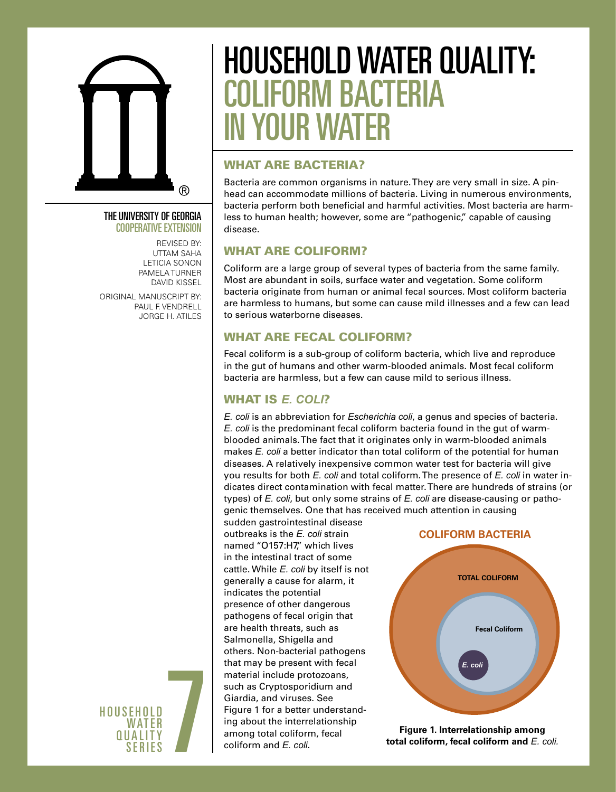

#### The University of Georgia Cooperative Extension

Revised by: UTTAM SAHA LETICIA SONON PAMELA TURNER DAVID KISSEL

Original manuscript by: PAUL F. VENDRELL JORGE H. ATILES



# household water quality: coliform bacteria in your water

# WHAT ARE BACTERIA?

Bacteria are common organisms in nature. They are very small in size. A pinhead can accommodate millions of bacteria. Living in numerous environments, bacteria perform both beneficial and harmful activities. Most bacteria are harmless to human health; however, some are "pathogenic," capable of causing disease.

# WHAT ARE COLIFORM?

Coliform are a large group of several types of bacteria from the same family. Most are abundant in soils, surface water and vegetation. Some coliform bacteria originate from human or animal fecal sources. Most coliform bacteria are harmless to humans, but some can cause mild illnesses and a few can lead to serious waterborne diseases.

# WHAT ARE FECAL COLIFORM?

Fecal coliform is a sub-group of coliform bacteria, which live and reproduce in the gut of humans and other warm-blooded animals. Most fecal coliform bacteria are harmless, but a few can cause mild to serious illness.

# WHAT IS *E. coli*?

*E. coli* is an abbreviation for *Escherichia coli*, a genus and species of bacteria. *E. coli* is the predominant fecal coliform bacteria found in the gut of warmblooded animals. The fact that it originates only in warm-blooded animals makes *E. coli* a better indicator than total coliform of the potential for human diseases. A relatively inexpensive common water test for bacteria will give you results for both *E. coli* and total coliform. The presence of *E. coli* in water indicates direct contamination with fecal matter. There are hundreds of strains (or types) of *E. coli*, but only some strains of *E. coli* are disease-causing or pathogenic themselves. One that has received much attention in causing

sudden gastrointestinal disease outbreaks is the *E. coli* strain named "O157:H7," which lives in the intestinal tract of some cattle. While *E. coli* by itself is not generally a cause for alarm, it indicates the potential presence of other dangerous pathogens of fecal origin that are health threats, such as Salmonella, Shigella and others. Non-bacterial pathogens that may be present with fecal material include protozoans, such as Cryptosporidium and Giardia, and viruses. See Figure 1 for a better understanding about the interrelationship among total coliform, fecal coliform and *E. coli*.

#### **COLIFORM BACTERIA**



**Figure 1. Interrelationship among total coliform, fecal coliform and** *E. coli.*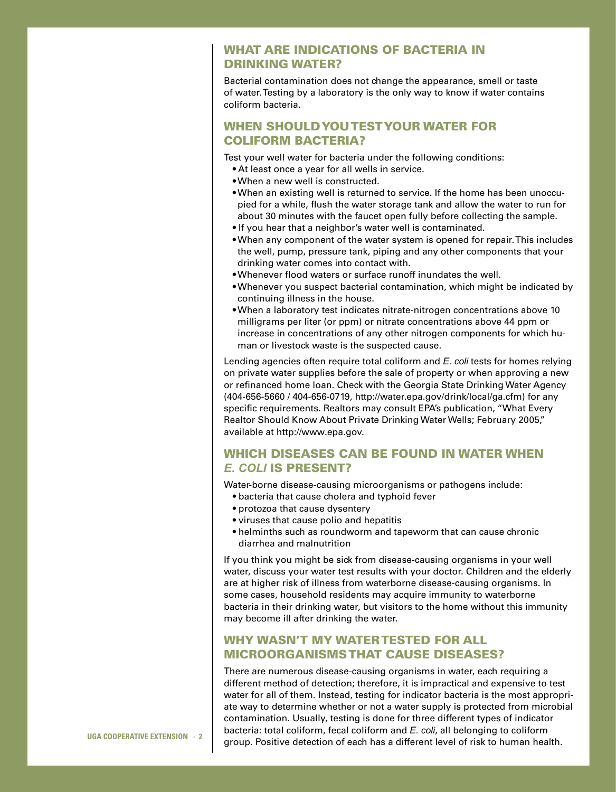#### WHAT ARE INDICATIONS OF BACTERIA IN DRINKING WATER?

Bacterial contamination does not change the appearance, smell or taste of water. Testing by a laboratory is the only way to know if water contains coliform bacteria.

## WHEN SHOULD YOU TEST YOUR WATER FOR COLIFORM BACTERIA?

Test your well water for bacteria under the following conditions:

- At least once a year for all wells in service.
- When a new well is constructed.
- When an existing well is returned to service. If the home has been unoccupied for a while, flush the water storage tank and allow the water to run for about 30 minutes with the faucet open fully before collecting the sample.
- If you hear that a neighbor's water well is contaminated.
- When any component of the water system is opened for repair. This includes the well, pump, pressure tank, piping and any other components that your drinking water comes into contact with.
- Whenever flood waters or surface runoff inundates the well.
- Whenever you suspect bacterial contamination, which might be indicated by continuing illness in the house.
- When a laboratory test indicates nitrate-nitrogen concentrations above 10 milligrams per liter (or ppm) or nitrate concentrations above 44 ppm or increase in concentrations of any other nitrogen components for which human or livestock waste is the suspected cause.

Lending agencies often require total coliform and *E. coli* tests for homes relying on private water supplies before the sale of property or when approving a new or refinanced home loan. Check with the Georgia State Drinking Water Agency (404-656-5660 / 404-656-0719, http://water.epa.gov/drink/local/ga.cfm) for any specific requirements. Realtors may consult EPA's publication, "What Every Realtor Should Know About Private Drinking Water Wells; February 2005," available at http://www.epa.gov.

#### WHICH DISEASES CAN BE FOUND IN WATER WHEN *E. coli* IS PRESENT?

Water-borne disease-causing microorganisms or pathogens include:

- bacteria that cause cholera and typhoid fever
- protozoa that cause dysentery
- viruses that cause polio and hepatitis
- helminths such as roundworm and tapeworm that can cause chronic diarrhea and malnutrition

If you think you might be sick from disease-causing organisms in your well water, discuss your water test results with your doctor. Children and the elderly are at higher risk of illness from waterborne disease-causing organisms. In some cases, household residents may acquire immunity to waterborne bacteria in their drinking water, but visitors to the home without this immunity may become ill after drinking the water.

### WHY WASN'T MY WATER TESTED FOR ALL MICROORGANISMS THAT CAUSE DISEASES?

There are numerous disease-causing organisms in water, each requiring a different method of detection; therefore, it is impractical and expensive to test water for all of them. Instead, testing for indicator bacteria is the most appropriate way to determine whether or not a water supply is protected from microbial contamination. Usually, testing is done for three different types of indicator bacteria: total coliform, fecal coliform and *E. coli*, all belonging to coliform group. Positive detection of each has a different level of risk to human health.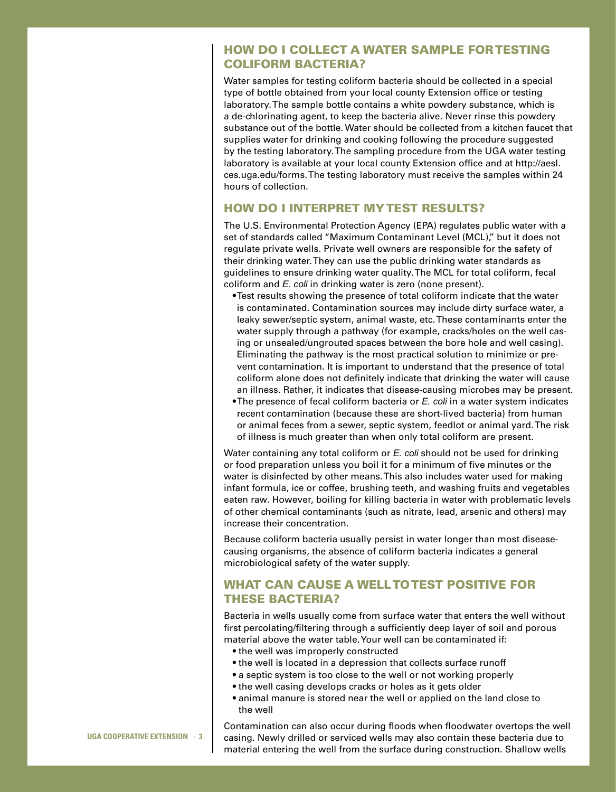#### HOW DO I COLLECT A WATER SAMPLE FOR TESTING COLIFORM BACTERIA?

Water samples for testing coliform bacteria should be collected in a special type of bottle obtained from your local county Extension office or testing laboratory. The sample bottle contains a white powdery substance, which is a de-chlorinating agent, to keep the bacteria alive. Never rinse this powdery substance out of the bottle. Water should be collected from a kitchen faucet that supplies water for drinking and cooking following the procedure suggested by the testing laboratory. The sampling procedure from the UGA water testing laboratory is available at your local county Extension office and at http://aesl. ces.uga.edu/forms. The testing laboratory must receive the samples within 24 hours of collection.

#### HOW DO I INTERPRET MY TEST RESULTS?

The U.S. Environmental Protection Agency (EPA) regulates public water with a set of standards called "Maximum Contaminant Level (MCL)," but it does not regulate private wells. Private well owners are responsible for the safety of their drinking water. They can use the public drinking water standards as guidelines to ensure drinking water quality. The MCL for total coliform, fecal coliform and *E. coli* in drinking water is zero (none present).

- Test results showing the presence of total coliform indicate that the water is contaminated. Contamination sources may include dirty surface water, a leaky sewer/septic system, animal waste, etc. These contaminants enter the water supply through a pathway (for example, cracks/holes on the well casing or unsealed/ungrouted spaces between the bore hole and well casing). Eliminating the pathway is the most practical solution to minimize or prevent contamination. It is important to understand that the presence of total coliform alone does not definitely indicate that drinking the water will cause an illness. Rather, it indicates that disease-causing microbes may be present.
- The presence of fecal coliform bacteria or *E. coli* in a water system indicates recent contamination (because these are short-lived bacteria) from human or animal feces from a sewer, septic system, feedlot or animal yard. The risk of illness is much greater than when only total coliform are present.

Water containing any total coliform or *E. coli* should not be used for drinking or food preparation unless you boil it for a minimum of five minutes or the water is disinfected by other means. This also includes water used for making infant formula, ice or coffee, brushing teeth, and washing fruits and vegetables eaten raw. However, boiling for killing bacteria in water with problematic levels of other chemical contaminants (such as nitrate, lead, arsenic and others) may increase their concentration.

Because coliform bacteria usually persist in water longer than most diseasecausing organisms, the absence of coliform bacteria indicates a general microbiological safety of the water supply.

## WHAT CAN CAUSE A WELL TO TEST POSITIVE FOR THESE BACTERIA?

Bacteria in wells usually come from surface water that enters the well without first percolating/filtering through a sufficiently deep layer of soil and porous material above the water table. Your well can be contaminated if:

- the well was improperly constructed
- the well is located in a depression that collects surface runoff
- a septic system is too close to the well or not working properly
- the well casing develops cracks or holes as it gets older
- animal manure is stored near the well or applied on the land close to the well

**UGA Cooperative Extension** · **3** 

Contamination can also occur during floods when floodwater overtops the well casing. Newly drilled or serviced wells may also contain these bacteria due to material entering the well from the surface during construction. Shallow wells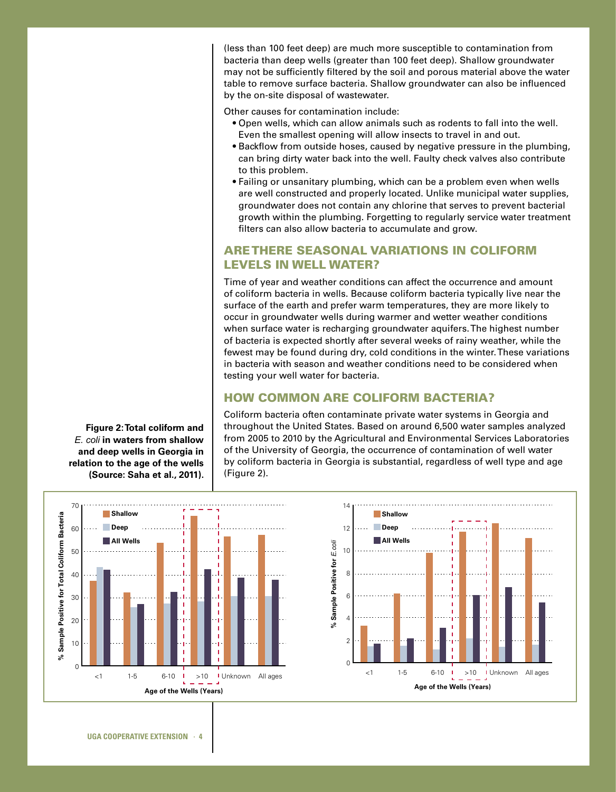(less than 100 feet deep) are much more susceptible to contamination from bacteria than deep wells (greater than 100 feet deep). Shallow groundwater may not be sufficiently filtered by the soil and porous material above the water table to remove surface bacteria. Shallow groundwater can also be influenced by the on-site disposal of wastewater.

Other causes for contamination include:

- Open wells, which can allow animals such as rodents to fall into the well. Even the smallest opening will allow insects to travel in and out.
- Backflow from outside hoses, caused by negative pressure in the plumbing, can bring dirty water back into the well. Faulty check valves also contribute to this problem.
- Failing or unsanitary plumbing, which can be a problem even when wells are well constructed and properly located. Unlike municipal water supplies, groundwater does not contain any chlorine that serves to prevent bacterial growth within the plumbing. Forgetting to regularly service water treatment filters can also allow bacteria to accumulate and grow.

#### ARE THERE SEASONAL VARIATIONS IN COLIFORM LEVELS IN WELL WATER?

Time of year and weather conditions can affect the occurrence and amount of coliform bacteria in wells. Because coliform bacteria typically live near the surface of the earth and prefer warm temperatures, they are more likely to occur in groundwater wells during warmer and wetter weather conditions when surface water is recharging groundwater aquifers. The highest number of bacteria is expected shortly after several weeks of rainy weather, while the fewest may be found during dry, cold conditions in the winter. These variations in bacteria with season and weather conditions need to be considered when testing your well water for bacteria. **e pelchi**riario<br>Lichiriario<br>Colita

#### **HOW COMMON ARE COLIFORM BACTERIA?**

Coliform bacteria often contaminate private water systems in Georgia and 10 throughout the United States. Based on around 6,500 water samples analyzed from 2005 to 2010 by the Agricultural and Environmental Services Laboratories 0 of the University of Georgia, the occurrence of contamination of well water by coliform bacteria in Georgia is substantial, regardless of well type and age **Age of the Wells (Years)** (Figure 2).



**Figure 2: Total coliform and**  *E. coli* **in waters from shallow and deep wells in Georgia in relation to the age of the wells (Source: Saha et al., 2011).**